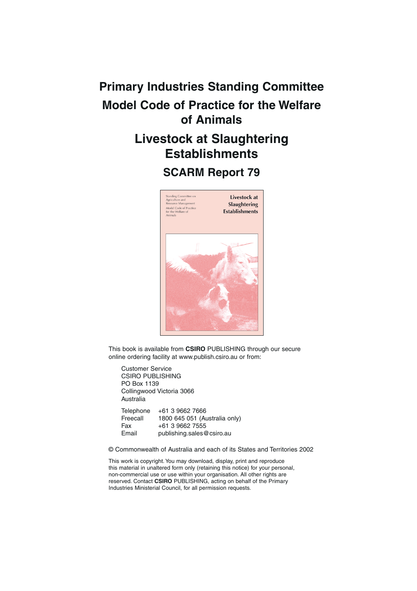# **Primary Industries Standing Committee Model Code of Practice for the Welfare of Animals Livestock at Slaughtering Establishments**

## **SCARM Report 79**



This book is available from **CSIRO** PUBLISHING through our secure online ordering facility at www.publish.csiro.au or from:

Customer Service CSIRO PUBLISHING PO Box 1139 Collingwood Victoria 3066 Australia

| Telephone | +61 3 9662 7666               |
|-----------|-------------------------------|
| Freecall  | 1800 645 051 (Australia only) |
| Fax       | +61 3 9662 7555               |
| Email     | publishing.sales@csiro.au     |

© Commonwealth of Australia and each of its States and Territories 2002

This work is copyright. You may download, display, print and reproduce this material in unaltered form only (retaining this notice) for your personal, non-commercial use or use within your organisation. All other rights are reserved. Contact **CSIRO** PUBLISHING, acting on behalf of the Primary Industries Ministerial Council, for all permission requests.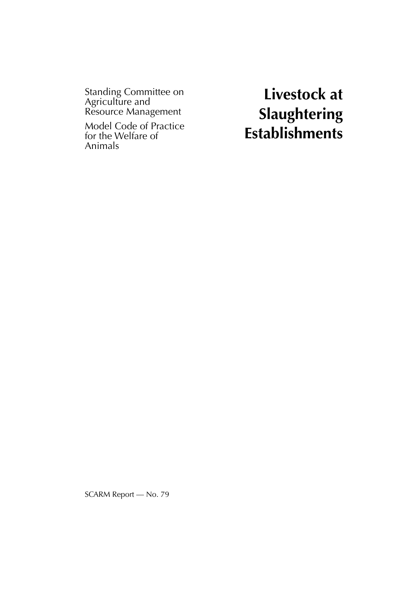Standing Committee on Agriculture and Resource Management

Model Code of Practice for the Welfare of Animals

**Livestock at Slaughtering Establishments**

SCARM Report — No. 79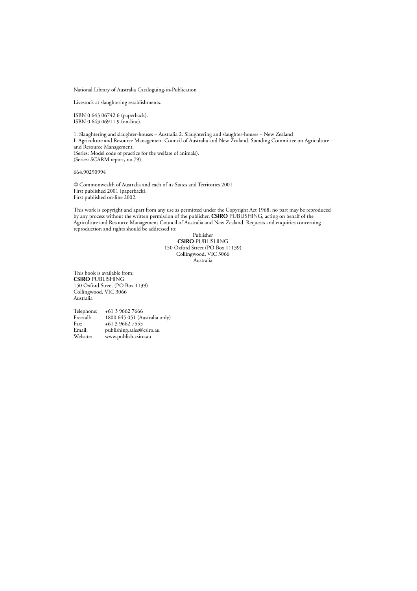National Library of Australia Cataloguing-in-Publication

Livestock at slaughtering establishments.

ISBN 0 643 06742 6 (paperback). ISBN 0 643 06911 9 (on-line).

1. Slaughtering and slaughter-houses – Australia 2. Slaughtering and slaughter-houses – New Zealand I. Agriculture and Resource Management Council of Australia and New Zealand. Standing Committee on Agriculture and Resource Management. (Series: Model code of practice for the welfare of animals). (Series: SCARM report, no.79).

664.90290994

© Commonwealth of Australia and each of its States and Territories 2001 First published 2001 (paperback). First published on-line 2002.

This work is copyright and apart from any use as permitted under the Copyright Act 1968, no part may be reproduced by any process without the written permission of the publisher, **CSIRO** PUBLISHING, acting on behalf of the Agriculture and Resource Management Council of Australia and New Zealand. Requests and enquiries concerning reproduction and rights should be addressed to:

Publisher **CSIRO** PUBLISHING 150 Oxford Street (PO Box 11139) Collingwood, VIC 3066 Australia

This book is available from: **CSIRO** PUBLISHING 150 Oxford Street (PO Box 1139) Collingwood, VIC 3066 Australia

Telephone: +61 3 9662 7666<br>Freecall: 1800 645 051 (Au Freecall: 1800 645 051 (Australia only)<br>Fax:  $+61396627555$ Fax:  $+61396627555$ <br>Fmail: publishing sales ( $\omega$ ) Email: publishing.sales@csiro.au<br>Website: www.publish.csiro.au www.publish.csiro.au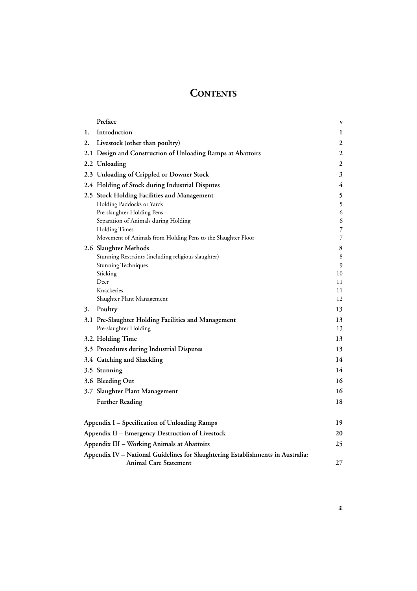## **CONTENTS**

|    | Preface                                                                         | $\mathbf{v}$     |
|----|---------------------------------------------------------------------------------|------------------|
| 1. | Introduction                                                                    | 1                |
| 2. | Livestock (other than poultry)                                                  | 2                |
|    | 2.1 Design and Construction of Unloading Ramps at Abattoirs                     | 2                |
|    | 2.2 Unloading                                                                   | $\boldsymbol{2}$ |
|    | 2.3 Unloading of Crippled or Downer Stock                                       | 3                |
|    | 2.4 Holding of Stock during Industrial Disputes                                 | 4                |
|    | 2.5 Stock Holding Facilities and Management                                     | 5                |
|    | Holding Paddocks or Yards                                                       | 5                |
|    | Pre-slaughter Holding Pens                                                      | 6                |
|    | Separation of Animals during Holding                                            | 6                |
|    | <b>Holding Times</b>                                                            | 7                |
|    | Movement of Animals from Holding Pens to the Slaughter Floor                    | 7                |
|    | 2.6 Slaughter Methods                                                           | 8                |
|    | Stunning Restraints (including religious slaughter)                             | 8                |
|    | Stunning Techniques                                                             | 9                |
|    | Sticking<br>Deer                                                                | 10<br>11         |
|    | Knackeries                                                                      | 11               |
|    | Slaughter Plant Management                                                      | 12               |
| 3. | Poultry                                                                         | 13               |
|    | 3.1 Pre-Slaughter Holding Facilities and Management                             | 13               |
|    | Pre-slaughter Holding                                                           | 13               |
|    | 3.2. Holding Time                                                               | 13               |
|    | 3.3 Procedures during Industrial Disputes                                       | 13               |
|    | 3.4 Catching and Shackling                                                      | 14               |
|    | 3.5 Stunning                                                                    | 14               |
|    | 3.6 Bleeding Out                                                                | 16               |
|    | 3.7 Slaughter Plant Management                                                  | 16               |
|    | <b>Further Reading</b>                                                          | 18               |
|    |                                                                                 |                  |
|    | Appendix I – Specification of Unloading Ramps                                   | 19               |
|    | Appendix II - Emergency Destruction of Livestock                                | 20               |
|    | Appendix III - Working Animals at Abattoirs                                     | 25               |
|    | Appendix IV - National Guidelines for Slaughtering Establishments in Australia: |                  |
|    | <b>Animal Care Statement</b>                                                    | 27               |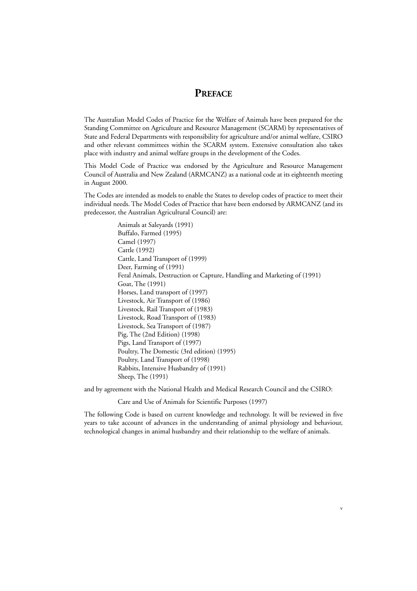## **PREFACE**

The Australian Model Codes of Practice for the Welfare of Animals have been prepared for the Standing Committee on Agriculture and Resource Management (SCARM) by representatives of State and Federal Departments with responsibility for agriculture and/or animal welfare, CSIRO and other relevant committees within the SCARM system. Extensive consultation also takes place with industry and animal welfare groups in the development of the Codes.

This Model Code of Practice was endorsed by the Agriculture and Resource Management Council of Australia and New Zealand (ARMCANZ) as a national code at its eighteenth meeting in August 2000.

The Codes are intended as models to enable the States to develop codes of practice to meet their individual needs. The Model Codes of Practice that have been endorsed by ARMCANZ (and its predecessor, the Australian Agricultural Council) are:

> Animals at Saleyards (1991) Buffalo, Farmed (1995) Camel (1997) Cattle (1992) Cattle, Land Transport of (1999) Deer, Farming of (1991) Feral Animals, Destruction or Capture, Handling and Marketing of (1991) Goat, The (1991) Horses, Land transport of (1997) Livestock, Air Transport of (1986) Livestock, Rail Transport of (1983) Livestock, Road Transport of (1983) Livestock, Sea Transport of (1987) Pig, The (2nd Edition) (1998) Pigs, Land Transport of (1997) Poultry, The Domestic (3rd edition) (1995) Poultry, Land Transport of (1998) Rabbits, Intensive Husbandry of (1991) Sheep, The (1991)

and by agreement with the National Health and Medical Research Council and the CSIRO:

Care and Use of Animals for Scientific Purposes (1997)

The following Code is based on current knowledge and technology. It will be reviewed in five years to take account of advances in the understanding of animal physiology and behaviour, technological changes in animal husbandry and their relationship to the welfare of animals.

v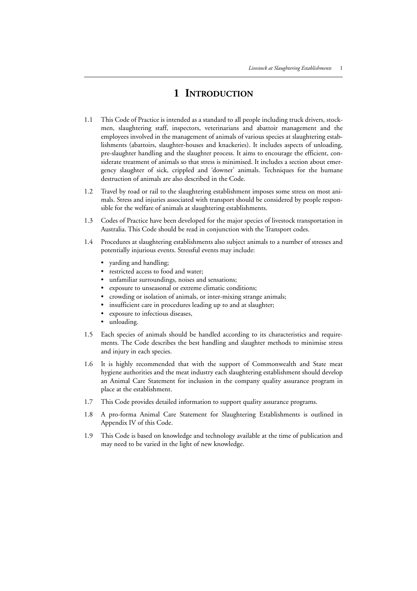## **1 INTRODUCTION**

- 1.1 This Code of Practice is intended as a standard to all people including truck drivers, stockmen, slaughtering staff, inspectors, veterinarians and abattoir management and the employees involved in the management of animals of various species at slaughtering establishments (abattoirs, slaughter-houses and knackeries). It includes aspects of unloading, pre-slaughter handling and the slaughter process. It aims to encourage the efficient, considerate treatment of animals so that stress is minimised. It includes a section about emergency slaughter of sick, crippled and 'downer' animals. Techniques for the humane destruction of animals are also described in the Code.
- 1.2 Travel by road or rail to the slaughtering establishment imposes some stress on most animals. Stress and injuries associated with transport should be considered by people responsible for the welfare of animals at slaughtering establishments.
- 1.3 Codes of Practice have been developed for the major species of livestock transportation in Australia. This Code should be read in conjunction with the Transport codes.
- 1.4 Procedures at slaughtering establishments also subject animals to a number of stresses and potentially injurious events. Stressful events may include:
	- yarding and handling;
	- restricted access to food and water;
	- unfamiliar surroundings, noises and sensations;
	- exposure to unseasonal or extreme climatic conditions;
	- crowding or isolation of animals, or inter-mixing strange animals;
	- insufficient care in procedures leading up to and at slaughter;
	- exposure to infectious diseases,
	- unloading.
- 1.5 Each species of animals should be handled according to its characteristics and requirements. The Code describes the best handling and slaughter methods to minimise stress and injury in each species.
- 1.6 It is highly recommended that with the support of Commonwealth and State meat hygiene authorities and the meat industry each slaughtering establishment should develop an Animal Care Statement for inclusion in the company quality assurance program in place at the establishment.
- 1.7 This Code provides detailed information to support quality assurance programs.
- 1.8 A pro-forma Animal Care Statement for Slaughtering Establishments is outlined in Appendix IV of this Code.
- 1.9 This Code is based on knowledge and technology available at the time of publication and may need to be varied in the light of new knowledge.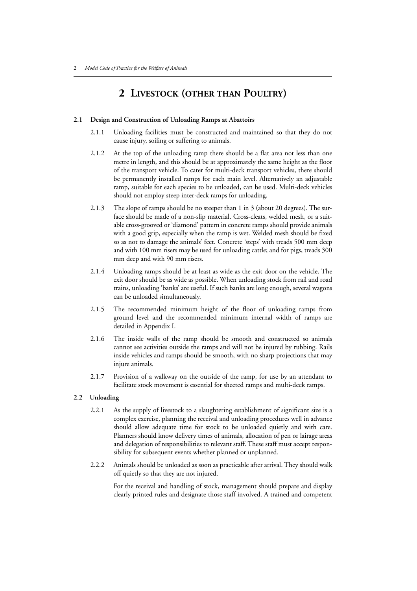## **2 LIVESTOCK (OTHER THAN POULTRY)**

#### **2.1 Design and Construction of Unloading Ramps at Abattoirs**

- 2.1.1 Unloading facilities must be constructed and maintained so that they do not cause injury, soiling or suffering to animals.
- 2.1.2 At the top of the unloading ramp there should be a flat area not less than one metre in length, and this should be at approximately the same height as the floor of the transport vehicle. To cater for multi-deck transport vehicles, there should be permanently installed ramps for each main level. Alternatively an adjustable ramp, suitable for each species to be unloaded, can be used. Multi-deck vehicles should not employ steep inter-deck ramps for unloading.
- 2.1.3 The slope of ramps should be no steeper than 1 in 3 (about 20 degrees). The surface should be made of a non-slip material. Cross-cleats, welded mesh, or a suitable cross-grooved or 'diamond' pattern in concrete ramps should provide animals with a good grip, especially when the ramp is wet. Welded mesh should be fixed so as not to damage the animals' feet. Concrete 'steps' with treads 500 mm deep and with 100 mm risers may be used for unloading cattle; and for pigs, treads 300 mm deep and with 90 mm risers.
- 2.1.4 Unloading ramps should be at least as wide as the exit door on the vehicle. The exit door should be as wide as possible. When unloading stock from rail and road trains, unloading 'banks' are useful. If such banks are long enough, several wagons can be unloaded simultaneously.
- 2.1.5 The recommended minimum height of the floor of unloading ramps from ground level and the recommended minimum internal width of ramps are detailed in Appendix I.
- 2.1.6 The inside walls of the ramp should be smooth and constructed so animals cannot see activities outside the ramps and will not be injured by rubbing. Rails inside vehicles and ramps should be smooth, with no sharp projections that may injure animals.
- 2.1.7 Provision of a walkway on the outside of the ramp, for use by an attendant to facilitate stock movement is essential for sheeted ramps and multi-deck ramps.

#### **2.2 Unloading**

- 2.2.1 As the supply of livestock to a slaughtering establishment of significant size is a complex exercise, planning the receival and unloading procedures well in advance should allow adequate time for stock to be unloaded quietly and with care. Planners should know delivery times of animals, allocation of pen or lairage areas and delegation of responsibilities to relevant staff. These staff must accept responsibility for subsequent events whether planned or unplanned.
- 2.2.2 Animals should be unloaded as soon as practicable after arrival. They should walk off quietly so that they are not injured.

For the receival and handling of stock, management should prepare and display clearly printed rules and designate those staff involved. A trained and competent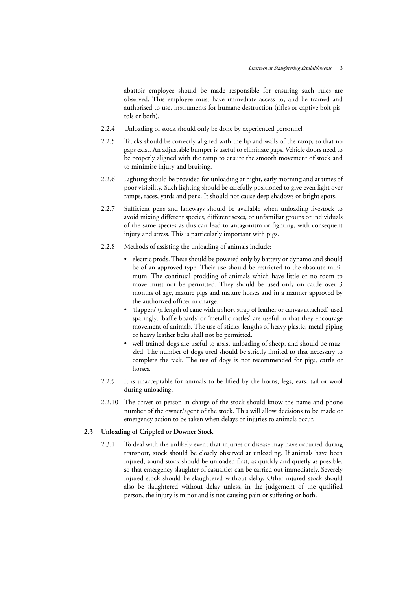abattoir employee should be made responsible for ensuring such rules are observed. This employee must have immediate access to, and be trained and authorised to use, instruments for humane destruction (rifles or captive bolt pistols or both).

- 2.2.4 Unloading of stock should only be done by experienced personnel*.*
- 2.2.5 Trucks should be correctly aligned with the lip and walls of the ramp, so that no gaps exist. An adjustable bumper is useful to eliminate gaps. Vehicle doors need to be properly aligned with the ramp to ensure the smooth movement of stock and to minimise injury and bruising.
- 2.2.6 Lighting should be provided for unloading at night, early morning and at times of poor visibility. Such lighting should be carefully positioned to give even light over ramps, races, yards and pens. It should not cause deep shadows or bright spots.
- 2.2.7 Sufficient pens and laneways should be available when unloading livestock to avoid mixing different species, different sexes, or unfamiliar groups or individuals of the same species as this can lead to antagonism or fighting, with consequent injury and stress. This is particularly important with pigs.
- 2.2.8 Methods of assisting the unloading of animals include:
	- electric prods. These should be powered only by battery or dynamo and should be of an approved type. Their use should be restricted to the absolute minimum. The continual prodding of animals which have little or no room to move must not be permitted. They should be used only on cattle over 3 months of age, mature pigs and mature horses and in a manner approved by the authorized officer in charge.
	- 'flappers' (a length of cane with a short strap of leather or canvas attached) used sparingly, 'baffle boards' or 'metallic rattles' are useful in that they encourage movement of animals. The use of sticks, lengths of heavy plastic, metal piping or heavy leather belts shall not be permitted.
	- well-trained dogs are useful to assist unloading of sheep, and should be muzzled. The number of dogs used should be strictly limited to that necessary to complete the task. The use of dogs is not recommended for pigs, cattle or horses.
- 2.2.9 It is unacceptable for animals to be lifted by the horns, legs, ears, tail or wool during unloading.
- 2.2.10 The driver or person in charge of the stock should know the name and phone number of the owner/agent of the stock. This will allow decisions to be made or emergency action to be taken when delays or injuries to animals occur.

#### **2.3 Unloading of Crippled or Downer Stock**

2.3.1 To deal with the unlikely event that injuries or disease may have occurred during transport, stock should be closely observed at unloading. If animals have been injured, sound stock should be unloaded first, as quickly and quietly as possible, so that emergency slaughter of casualties can be carried out immediately. Severely injured stock should be slaughtered without delay. Other injured stock should also be slaughtered without delay unless, in the judgement of the qualified person, the injury is minor and is not causing pain or suffering or both.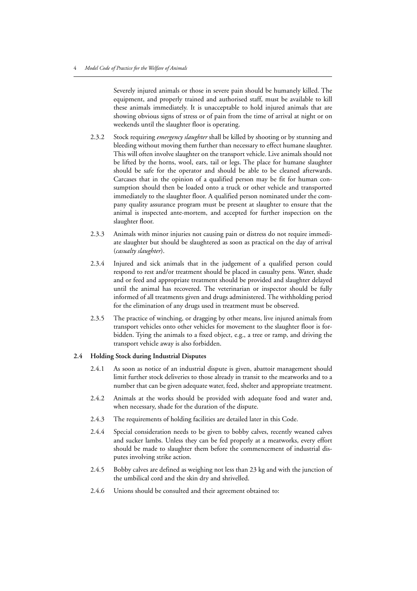Severely injured animals or those in severe pain should be humanely killed. The equipment, and properly trained and authorised staff, must be available to kill these animals immediately. It is unacceptable to hold injured animals that are showing obvious signs of stress or of pain from the time of arrival at night or on weekends until the slaughter floor is operating.

- 2.3.2 Stock requiring *emergency slaughter* shall be killed by shooting or by stunning and bleeding without moving them further than necessary to effect humane slaughter. This will often involve slaughter on the transport vehicle. Live animals should not be lifted by the horns, wool, ears, tail or legs. The place for humane slaughter should be safe for the operator and should be able to be cleaned afterwards. Carcases that in the opinion of a qualified person may be fit for human consumption should then be loaded onto a truck or other vehicle and transported immediately to the slaughter floor. A qualified person nominated under the company quality assurance program must be present at slaughter to ensure that the animal is inspected ante-mortem, and accepted for further inspection on the slaughter floor.
- 2.3.3 Animals with minor injuries not causing pain or distress do not require immediate slaughter but should be slaughtered as soon as practical on the day of arrival (*casualty slaughter*).
- 2.3.4 Injured and sick animals that in the judgement of a qualified person could respond to rest and/or treatment should be placed in casualty pens. Water, shade and or feed and appropriate treatment should be provided and slaughter delayed until the animal has recovered. The veterinarian or inspector should be fully informed of all treatments given and drugs administered. The withholding period for the elimination of any drugs used in treatment must be observed.
- 2.3.5 The practice of winching, or dragging by other means, live injured animals from transport vehicles onto other vehicles for movement to the slaughter floor is forbidden. Tying the animals to a fixed object, e.g., a tree or ramp, and driving the transport vehicle away is also forbidden.

#### **2.4 Holding Stock during Industrial Disputes**

- 2.4.1 As soon as notice of an industrial dispute is given, abattoir management should limit further stock deliveries to those already in transit to the meatworks and to a number that can be given adequate water, feed, shelter and appropriate treatment.
- 2.4.2 Animals at the works should be provided with adequate food and water and, when necessary, shade for the duration of the dispute.
- 2.4.3 The requirements of holding facilities are detailed later in this Code.
- 2.4.4 Special consideration needs to be given to bobby calves, recently weaned calves and sucker lambs. Unless they can be fed properly at a meatworks, every effort should be made to slaughter them before the commencement of industrial disputes involving strike action.
- 2.4.5 Bobby calves are defined as weighing not less than 23 kg and with the junction of the umbilical cord and the skin dry and shrivelled.
- 2.4.6 Unions should be consulted and their agreement obtained to: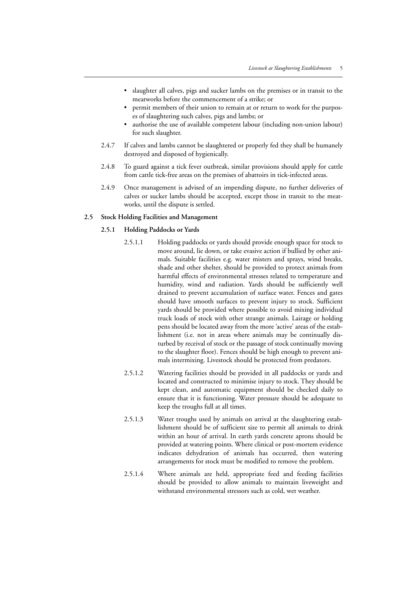- slaughter all calves, pigs and sucker lambs on the premises or in transit to the meatworks before the commencement of a strike; or
- permit members of their union to remain at or return to work for the purposes of slaughtering such calves, pigs and lambs; or
- authorise the use of available competent labour (including non-union labour) for such slaughter.
- 2.4.7 If calves and lambs cannot be slaughtered or properly fed they shall be humanely destroyed and disposed of hygienically.
- 2.4.8 To guard against a tick fever outbreak, similar provisions should apply for cattle from cattle tick-free areas on the premises of abattoirs in tick-infected areas.
- 2.4.9 Once management is advised of an impending dispute, no further deliveries of calves or sucker lambs should be accepted, except those in transit to the meatworks, until the dispute is settled.

#### **2.5 Stock Holding Facilities and Management**

#### **2.5.1 Holding Paddocks or Yards**

- 2.5.1.1 Holding paddocks or yards should provide enough space for stock to move around, lie down, or take evasive action if bullied by other animals. Suitable facilities e.g. water misters and sprays, wind breaks, shade and other shelter, should be provided to protect animals from harmful effects of environmental stresses related to temperature and humidity, wind and radiation. Yards should be sufficiently well drained to prevent accumulation of surface water. Fences and gates should have smooth surfaces to prevent injury to stock. Sufficient yards should be provided where possible to avoid mixing individual truck loads of stock with other strange animals. Lairage or holding pens should be located away from the more 'active' areas of the establishment (i.e. not in areas where animals may be continually disturbed by receival of stock or the passage of stock continually moving to the slaughter floor). Fences should be high enough to prevent animals intermixing. Livestock should be protected from predators.
- 2.5.1.2 Watering facilities should be provided in all paddocks or yards and located and constructed to minimise injury to stock. They should be kept clean, and automatic equipment should be checked daily to ensure that it is functioning. Water pressure should be adequate to keep the troughs full at all times.
- 2.5.1.3 Water troughs used by animals on arrival at the slaughtering establishment should be of sufficient size to permit all animals to drink within an hour of arrival. In earth yards concrete aprons should be provided at watering points. Where clinical or post-mortem evidence indicates dehydration of animals has occurred, then watering arrangements for stock must be modified to remove the problem.
- 2.5.1.4 Where animals are held, appropriate feed and feeding facilities should be provided to allow animals to maintain liveweight and withstand environmental stressors such as cold, wet weather.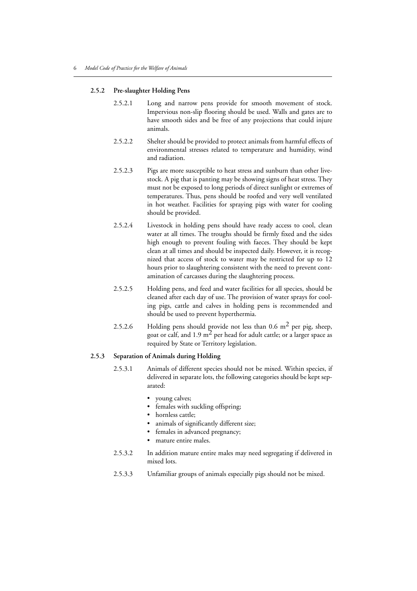#### **2.5.2 Pre-slaughter Holding Pens**

- 2.5.2.1 Long and narrow pens provide for smooth movement of stock. Impervious non-slip flooring should be used. Walls and gates are to have smooth sides and be free of any projections that could injure animals.
- 2.5.2.2 Shelter should be provided to protect animals from harmful effects of environmental stresses related to temperature and humidity, wind and radiation.
- 2.5.2.3 Pigs are more susceptible to heat stress and sunburn than other livestock. A pig that is panting may be showing signs of heat stress. They must not be exposed to long periods of direct sunlight or extremes of temperatures. Thus, pens should be roofed and very well ventilated in hot weather. Facilities for spraying pigs with water for cooling should be provided.
- 2.5.2.4 Livestock in holding pens should have ready access to cool, clean water at all times. The troughs should be firmly fixed and the sides high enough to prevent fouling with faeces. They should be kept clean at all times and should be inspected daily. However, it is recognized that access of stock to water may be restricted for up to 12 hours prior to slaughtering consistent with the need to prevent contamination of carcasses during the slaughtering process.
- 2.5.2.5 Holding pens, and feed and water facilities for all species, should be cleaned after each day of use. The provision of water sprays for cooling pigs, cattle and calves in holding pens is recommended and should be used to prevent hyperthermia.
- 2.5.2.6 Holding pens should provide not less than  $0.6 \text{ m}^2$  per pig, sheep, goat or calf, and 1.9  $m<sup>2</sup>$  per head for adult cattle; or a larger space as required by State or Territory legislation.

#### **2.5.3 Separation of Animals during Holding**

- 2.5.3.1 Animals of different species should not be mixed. Within species, if delivered in separate lots, the following categories should be kept separated:
	- young calves;
	- females with suckling offspring;
	- hornless cattle;
	- animals of significantly different size;
	- females in advanced pregnancy;
	- mature entire males.
- 2.5.3.2 In addition mature entire males may need segregating if delivered in mixed lots.
- 2.5.3.3 Unfamiliar groups of animals especially pigs should not be mixed.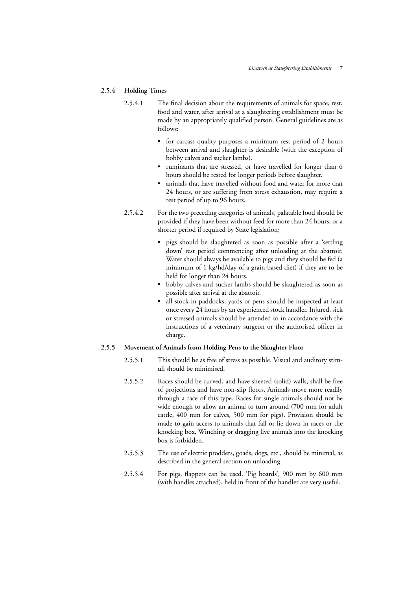#### **2.5.4 Holding Times**

- 2.5.4.1 The final decision about the requirements of animals for space, rest, food and water, after arrival at a slaughtering establishment must be made by an appropriately qualified person. General guidelines are as follows:
	- for carcass quality purposes a minimum rest period of 2 hours between arrival and slaughter is desirable (with the exception of bobby calves and sucker lambs).
	- ruminants that are stressed, or have travelled for longer than 6 hours should be rested for longer periods before slaughter.
	- animals that have travelled without food and water for more that 24 hours, or are suffering from stress exhaustion, may require a rest period of up to 96 hours.
- 2.5.4.2 For the two preceding categories of animals, palatable food should be provided if they have been without feed for more than 24 hours, or a shorter period if required by State legislation;
	- pigs should be slaughtered as soon as possible after a 'settling down' rest period commencing after unloading at the abattoir. Water should always be available to pigs and they should be fed (a minimum of 1 kg/hd/day of a grain-based diet) if they are to be held for longer than 24 hours.
	- bobby calves and sucker lambs should be slaughtered as soon as possible after arrival at the abattoir.
	- all stock in paddocks, yards or pens should be inspected at least once every 24 hours by an experienced stock handler. Injured, sick or stressed animals should be attended to in accordance with the instructions of a veterinary surgeon or the authorised officer in charge.

#### **2.5.5 Movement of Animals from Holding Pens to the Slaughter Floor**

- 2.5.5.1 This should be as free of stress as possible. Visual and auditory stimuli should be minimised.
- 2.5.5.2 Races should be curved, and have sheeted (solid) walls, shall be free of projections and have non-slip floors. Animals move more readily through a race of this type. Races for single animals should not be wide enough to allow an animal to turn around (700 mm for adult cattle, 400 mm for calves, 500 mm for pigs). Provision should be made to gain access to animals that fall or lie down in races or the knocking box. Winching or dragging live animals into the knocking box is forbidden.
- 2.5.5.3 The use of electric prodders, goads, dogs, etc., should be minimal, as described in the general section on unloading.
- 2.5.5.4 For pigs, flappers can be used. 'Pig boards', 900 mm by 600 mm (with handles attached), held in front of the handler are very useful.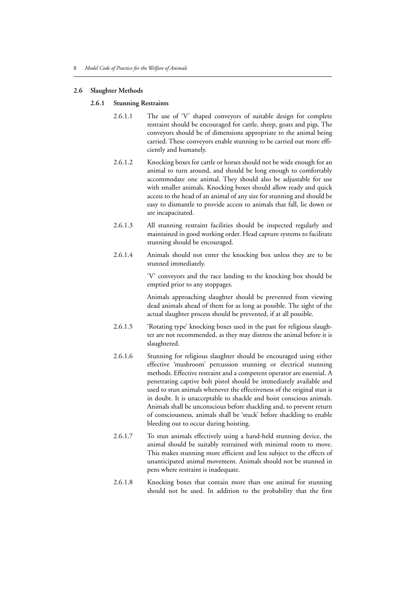#### **2.6 Slaughter Methods**

#### **2.6.1 Stunning Restraints**

- 2.6.1.1 The use of 'V' shaped conveyors of suitable design for complete restraint should be encouraged for cattle, sheep, goats and pigs. The conveyors should be of dimensions appropriate to the animal being carried. These conveyors enable stunning to be carried out more efficiently and humanely.
- 2.6.1.2 Knocking boxes for cattle or horses should not be wide enough for an animal to turn around, and should be long enough to comfortably accommodate one animal. They should also be adjustable for use with smaller animals. Knocking boxes should allow ready and quick access to the head of an animal of any size for stunning and should be easy to dismantle to provide access to animals that fall, lie down or are incapacitated.
- 2.6.1.3 All stunning restraint facilities should be inspected regularly and maintained in good working order. Head capture systems to facilitate stunning should be encouraged.
- 2.6.1.4 Animals should not enter the knocking box unless they are to be stunned immediately.

'V' conveyors and the race landing to the knocking box should be emptied prior to any stoppages.

Animals approaching slaughter should be prevented from viewing dead animals ahead of them for as long as possible. The sight of the actual slaughter process should be prevented, if at all possible.

- 2.6.1.5 'Rotating type' knocking boxes used in the past for religious slaughter are not recommended, as they may distress the animal before it is slaughtered.
- 2.6.1.6 Stunning for religious slaughter should be encouraged using either effective 'mushroom' percussion stunning or electrical stunning methods. Effective restraint and a competent operator are essential. A penetrating captive bolt pistol should be immediately available and used to stun animals whenever the effectiveness of the original stun is in doubt. It is unacceptable to shackle and hoist conscious animals. Animals shall be unconscious before shackling and, to prevent return of consciousness, animals shall be 'stuck' before shackling to enable bleeding out to occur during hoisting.
- 2.6.1.7 To stun animals effectively using a hand-held stunning device, the animal should be suitably restrained with minimal room to move. This makes stunning more efficient and less subject to the effects of unanticipated animal movement. Animals should not be stunned in pens where restraint is inadequate.
- 2.6.1.8 Knocking boxes that contain more than one animal for stunning should not be used. In addition to the probability that the first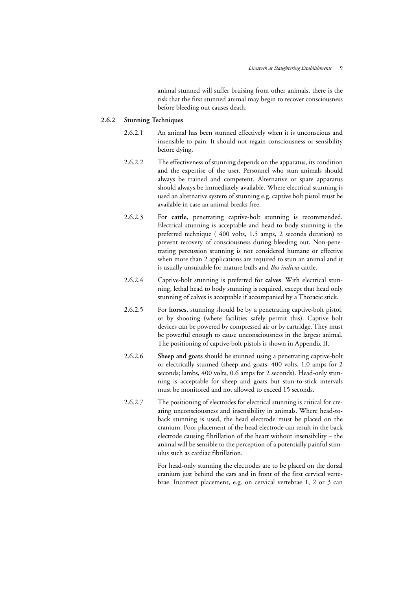animal stunned will suffer bruising from other animals, there is the risk that the first stunned animal may begin to recover consciousness before bleeding out causes death.

#### **2.6.2 Stunning Techniques**

- 2.6.2.1 An animal has been stunned effectively when it is unconscious and insensible to pain. It should not regain consciousness or sensibility before dying.
- 2.6.2.2 The effectiveness of stunning depends on the apparatus, its condition and the expertise of the user. Personnel who stun animals should always be trained and competent. Alternative or spare apparatus should always be immediately available. Where electrical stunning is used an alternative system of stunning e.g. captive bolt pistol must be available in case an animal breaks free.
- 2.6.2.3 For **cattle**, penetrating captive-bolt stunning is recommended. Electrical stunning is acceptable and head to body stunning is the preferred technique ( 400 volts, 1.5 amps, 2 seconds duration) to prevent recovery of consciousness during bleeding out. Non-penetrating percussion stunning is not considered humane or effective when more than 2 applications are required to stun an animal and it is usually unsuitable for mature bulls and *Bos indicus* cattle.
- 2.6.2.4 Captive-bolt stunning is preferred for **calves**. With electrical stunning, lethal head to body stunning is required, except that head only stunning of calves is acceptable if accompanied by a Thoracic stick.
- 2.6.2.5 For **horses**, stunning should be by a penetrating captive-bolt pistol, or by shooting (where facilities safely permit this). Captive bolt devices can be powered by compressed air or by cartridge. They must be powerful enough to cause unconsciousness in the largest animal. The positioning of captive-bolt pistols is shown in Appendix II.
- 2.6.2.6 **Sheep and goats** should be stunned using a penetrating captive-bolt or electrically stunned (sheep and goats, 400 volts, 1.0 amps for 2 seconds; lambs, 400 volts, 0.6 amps for 2 seconds). Head-only stunning is acceptable for sheep and goats but stun-to-stick intervals must be monitored and not allowed to exceed 15 seconds.
- 2.6.2.7 The positioning of electrodes for electrical stunning is critical for creating unconsciousness and insensibility in animals. Where head-toback stunning is used, the head electrode must be placed on the cranium. Poor placement of the head electrode can result in the back electrode causing fibrillation of the heart without insensibility – the animal will be sensible to the perception of a potentially painful stimulus such as cardiac fibrillation.

For head-only stunning the electrodes are to be placed on the dorsal cranium just behind the ears and in front of the first cervical vertebrae. Incorrect placement, e.g. on cervical vertebrae 1, 2 or 3 can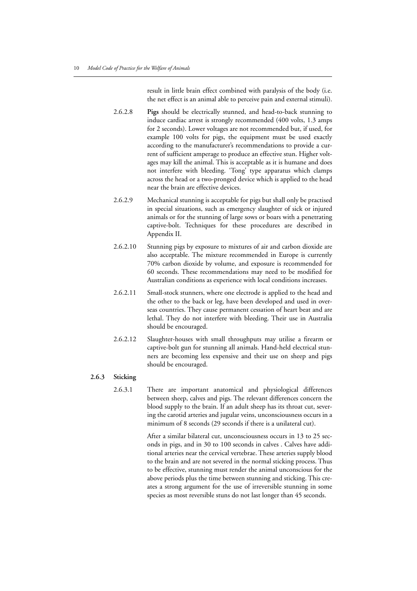result in little brain effect combined with paralysis of the body (i.e. the net effect is an animal able to perceive pain and external stimuli).

- 2.6.2.8 **Pigs** should be electrically stunned, and head-to-back stunning to induce cardiac arrest is strongly recommended (400 volts, 1.3 amps for 2 seconds). Lower voltages are not recommended but, if used, for example 100 volts for pigs, the equipment must be used exactly according to the manufacturer's recommendations to provide a current of sufficient amperage to produce an effective stun. Higher voltages may kill the animal. This is acceptable as it is humane and does not interfere with bleeding. 'Tong' type apparatus which clamps across the head or a two-pronged device which is applied to the head near the brain are effective devices.
- 2.6.2.9 Mechanical stunning is acceptable for pigs but shall only be practised in special situations, such as emergency slaughter of sick or injured animals or for the stunning of large sows or boars with a penetrating captive-bolt. Techniques for these procedures are described in Appendix II.
- 2.6.2.10 Stunning pigs by exposure to mixtures of air and carbon dioxide are also acceptable. The mixture recommended in Europe is currently 70% carbon dioxide by volume, and exposure is recommended for 60 seconds. These recommendations may need to be modified for Australian conditions as experience with local conditions increases.
- 2.6.2.11 Small-stock stunners, where one electrode is applied to the head and the other to the back or leg, have been developed and used in overseas countries. They cause permanent cessation of heart beat and are lethal. They do not interfere with bleeding. Their use in Australia should be encouraged.
- 2.6.2.12 Slaughter-houses with small throughputs may utilise a firearm or captive-bolt gun for stunning all animals. Hand-held electrical stunners are becoming less expensive and their use on sheep and pigs should be encouraged.

#### **2.6.3 Sticking**

2.6.3.1 There are important anatomical and physiological differences between sheep, calves and pigs. The relevant differences concern the blood supply to the brain. If an adult sheep has its throat cut, severing the carotid arteries and jugular veins, unconsciousness occurs in a minimum of 8 seconds (29 seconds if there is a unilateral cut).

> After a similar bilateral cut, unconsciousness occurs in 13 to 25 seconds in pigs, and in 30 to 100 seconds in calves . Calves have additional arteries near the cervical vertebrae. These arteries supply blood to the brain and are not severed in the normal sticking process. Thus to be effective, stunning must render the animal unconscious for the above periods plus the time between stunning and sticking. This creates a strong argument for the use of irreversible stunning in some species as most reversible stuns do not last longer than 45 seconds.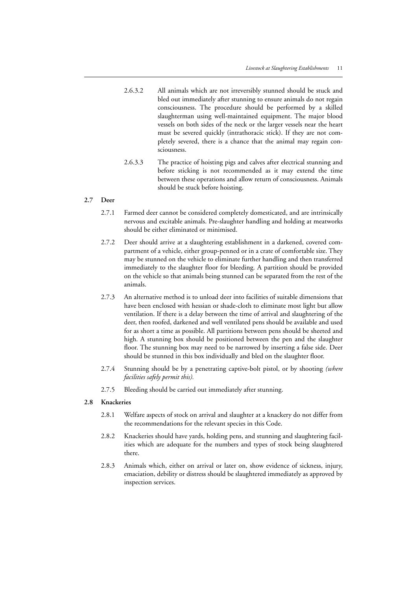- 2.6.3.2 All animals which are not irreversibly stunned should be stuck and bled out immediately after stunning to ensure animals do not regain consciousness. The procedure should be performed by a skilled slaughterman using well-maintained equipment. The major blood vessels on both sides of the neck or the larger vessels near the heart must be severed quickly (intrathoracic stick). If they are not completely severed, there is a chance that the animal may regain consciousness.
- 2.6.3.3 The practice of hoisting pigs and calves after electrical stunning and before sticking is not recommended as it may extend the time between these operations and allow return of consciousness. Animals should be stuck before hoisting.

#### **2.7 Deer**

- 2.7.1 Farmed deer cannot be considered completely domesticated, and are intrinsically nervous and excitable animals. Pre-slaughter handling and holding at meatworks should be either eliminated or minimised.
- 2.7.2 Deer should arrive at a slaughtering establishment in a darkened, covered compartment of a vehicle, either group-penned or in a crate of comfortable size. They may be stunned on the vehicle to eliminate further handling and then transferred immediately to the slaughter floor for bleeding. A partition should be provided on the vehicle so that animals being stunned can be separated from the rest of the animals.
- 2.7.3 An alternative method is to unload deer into facilities of suitable dimensions that have been enclosed with hessian or shade-cloth to eliminate most light but allow ventilation. If there is a delay between the time of arrival and slaughtering of the deer, then roofed, darkened and well ventilated pens should be available and used for as short a time as possible. All partitions between pens should be sheeted and high. A stunning box should be positioned between the pen and the slaughter floor. The stunning box may need to be narrowed by inserting a false side. Deer should be stunned in this box individually and bled on the slaughter floor.
- 2.7.4 Stunning should be by a penetrating captive-bolt pistol, or by shooting *(where facilities safely permit this).*
- 2.7.5 Bleeding should be carried out immediately after stunning.

#### **2.8 Knackeries**

- 2.8.1 Welfare aspects of stock on arrival and slaughter at a knackery do not differ from the recommendations for the relevant species in this Code.
- 2.8.2 Knackeries should have yards, holding pens, and stunning and slaughtering facilities which are adequate for the numbers and types of stock being slaughtered there.
- 2.8.3 Animals which, either on arrival or later on, show evidence of sickness, injury, emaciation, debility or distress should be slaughtered immediately as approved by inspection services.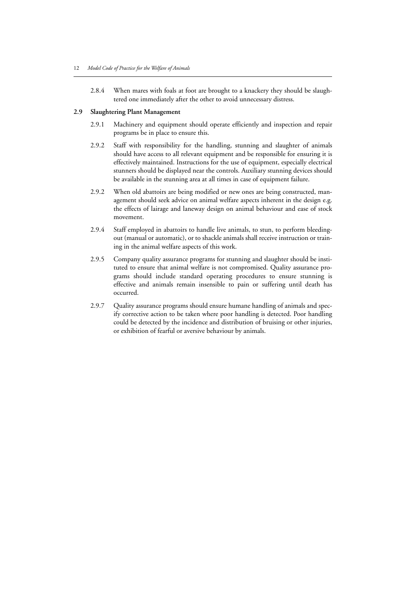2.8.4 When mares with foals at foot are brought to a knackery they should be slaughtered one immediately after the other to avoid unnecessary distress.

#### **2.9 Slaughtering Plant Management**

- 2.9.1 Machinery and equipment should operate efficiently and inspection and repair programs be in place to ensure this.
- 2.9.2 Staff with responsibility for the handling, stunning and slaughter of animals should have access to all relevant equipment and be responsible for ensuring it is effectively maintained. Instructions for the use of equipment, especially electrical stunners should be displayed near the controls. Auxiliary stunning devices should be available in the stunning area at all times in case of equipment failure.
- 2.9.2 When old abattoirs are being modified or new ones are being constructed, management should seek advice on animal welfare aspects inherent in the design e.g. the effects of lairage and laneway design on animal behaviour and ease of stock movement.
- 2.9.4 Staff employed in abattoirs to handle live animals, to stun, to perform bleedingout (manual or automatic), or to shackle animals shall receive instruction or training in the animal welfare aspects of this work.
- 2.9.5 Company quality assurance programs for stunning and slaughter should be instituted to ensure that animal welfare is not compromised. Quality assurance programs should include standard operating procedures to ensure stunning is effective and animals remain insensible to pain or suffering until death has occurred.
- 2.9.7 Quality assurance programs should ensure humane handling of animals and specify corrective action to be taken where poor handling is detected. Poor handling could be detected by the incidence and distribution of bruising or other injuries, or exhibition of fearful or aversive behaviour by animals.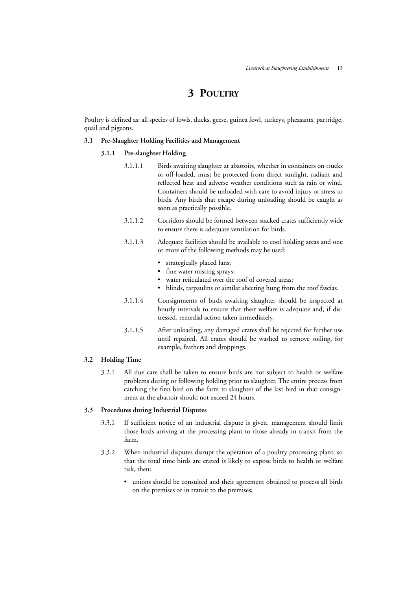## **3 POULTRY**

Poultry is defined as: all species of fowls, ducks, geese, guinea fowl, turkeys, pheasants, partridge, quail and pigeons.

#### **3.1 Pre-Slaughter Holding Facilities and Management**

#### **3.1.1 Pre-slaughter Holding**

- 3.1.1.1 Birds awaiting slaughter at abattoirs, whether in containers on trucks or off-loaded, must be protected from direct sunlight, radiant and reflected heat and adverse weather conditions such as rain or wind. Containers should be unloaded with care to avoid injury or stress to birds. Any birds that escape during unloading should be caught as soon as practically possible.
- 3.1.1.2 Corridors should be formed between stacked crates sufficiently wide to ensure there is adequate ventilation for birds.
- 3.1.1.3 Adequate facilities should be available to cool holding areas and one or more of the following methods may be used:
	- strategically placed fans;
	- fine water misting sprays;
	- water reticulated over the roof of covered areas;
	- blinds, tarpaulins or similar sheeting hung from the roof fascias.
- 3.1.1.4 Consignments of birds awaiting slaughter should be inspected at hourly intervals to ensure that their welfare is adequate and, if distressed, remedial action taken immediately.
- 3.1.1.5 After unloading, any damaged crates shall be rejected for further use until repaired. All crates should be washed to remove soiling, for example, feathers and droppings.

#### **3.2 Holding Time**

3.2.1 All due care shall be taken to ensure birds are not subject to health or welfare problems during or following holding prior to slaughter. The entire process from catching the first bird on the farm to slaughter of the last bird in that consignment at the abattoir should not exceed 24 hours.

#### **3.3 Procedures during Industrial Disputes**

- 3.3.1 If sufficient notice of an industrial dispute is given, management should limit those birds arriving at the processing plant to those already in transit from the farm.
- 3.3.2 When industrial disputes disrupt the operation of a poultry processing plant, so that the total time birds are crated is likely to expose birds to health or welfare risk, then:
	- unions should be consulted and their agreement obtained to process all birds on the premises or in transit to the premises;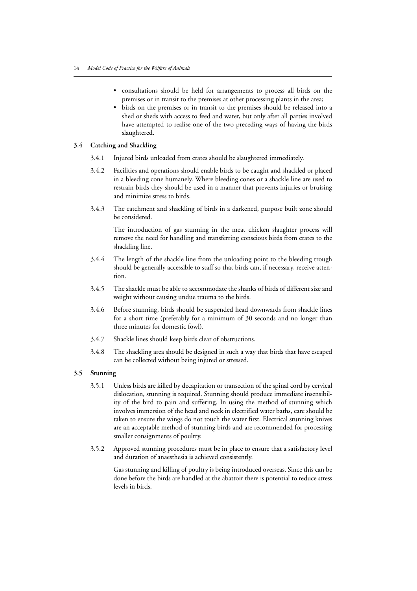- consultations should be held for arrangements to process all birds on the premises or in transit to the premises at other processing plants in the area;
- birds on the premises or in transit to the premises should be released into a shed or sheds with access to feed and water, but only after all parties involved have attempted to realise one of the two preceding ways of having the birds slaughtered.

#### **3.4 Catching and Shackling**

- 3.4.1 Injured birds unloaded from crates should be slaughtered immediately.
- 3.4.2 Facilities and operations should enable birds to be caught and shackled or placed in a bleeding cone humanely. Where bleeding cones or a shackle line are used to restrain birds they should be used in a manner that prevents injuries or bruising and minimize stress to birds.
- 3.4.3 The catchment and shackling of birds in a darkened, purpose built zone should be considered.

The introduction of gas stunning in the meat chicken slaughter process will remove the need for handling and transferring conscious birds from crates to the shackling line.

- 3.4.4 The length of the shackle line from the unloading point to the bleeding trough should be generally accessible to staff so that birds can, if necessary, receive attention.
- 3.4.5 The shackle must be able to accommodate the shanks of birds of different size and weight without causing undue trauma to the birds.
- 3.4.6 Before stunning, birds should be suspended head downwards from shackle lines for a short time (preferably for a minimum of 30 seconds and no longer than three minutes for domestic fowl).
- 3.4.7 Shackle lines should keep birds clear of obstructions.
- 3.4.8 The shackling area should be designed in such a way that birds that have escaped can be collected without being injured or stressed.

#### **3.5 Stunning**

- 3.5.1 Unless birds are killed by decapitation or transection of the spinal cord by cervical dislocation, stunning is required. Stunning should produce immediate insensibility of the bird to pain and suffering. In using the method of stunning which involves immersion of the head and neck in electrified water baths, care should be taken to ensure the wings do not touch the water first. Electrical stunning knives are an acceptable method of stunning birds and are recommended for processing smaller consignments of poultry.
- 3.5.2 Approved stunning procedures must be in place to ensure that a satisfactory level and duration of anaesthesia is achieved consistently.

Gas stunning and killing of poultry is being introduced overseas. Since this can be done before the birds are handled at the abattoir there is potential to reduce stress levels in birds.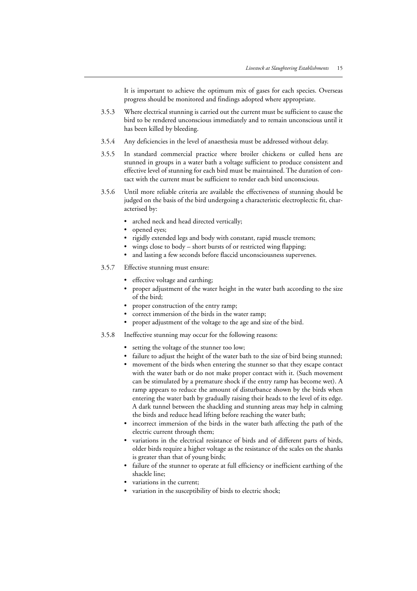It is important to achieve the optimum mix of gases for each species. Overseas progress should be monitored and findings adopted where appropriate.

- 3.5.3 Where electrical stunning is carried out the current must be sufficient to cause the bird to be rendered unconscious immediately and to remain unconscious until it has been killed by bleeding.
- 3.5.4 Any deficiencies in the level of anaesthesia must be addressed without delay.
- 3.5.5 In standard commercial practice where broiler chickens or culled hens are stunned in groups in a water bath a voltage sufficient to produce consistent and effective level of stunning for each bird must be maintained. The duration of contact with the current must be sufficient to render each bird unconscious.
- 3.5.6 Until more reliable criteria are available the effectiveness of stunning should be judged on the basis of the bird undergoing a characteristic electroplectic fit, characterised by:
	- arched neck and head directed vertically;
	- opened eyes;
	- rigidly extended legs and body with constant, rapid muscle tremors;
	- wings close to body short bursts of or restricted wing flapping;
	- and lasting a few seconds before flaccid unconsciousness supervenes.
- 3.5.7 Effective stunning must ensure:
	- effective voltage and earthing;
	- proper adjustment of the water height in the water bath according to the size of the bird;
	- proper construction of the entry ramp;
	- correct immersion of the birds in the water ramp;
	- proper adjustment of the voltage to the age and size of the bird.
- 3.5.8 Ineffective stunning may occur for the following reasons:
	- setting the voltage of the stunner too low;
	- failure to adjust the height of the water bath to the size of bird being stunned;
	- movement of the birds when entering the stunner so that they escape contact with the water bath or do not make proper contact with it. (Such movement can be stimulated by a premature shock if the entry ramp has become wet). A ramp appears to reduce the amount of disturbance shown by the birds when entering the water bath by gradually raising their heads to the level of its edge. A dark tunnel between the shackling and stunning areas may help in calming the birds and reduce head lifting before reaching the water bath;
	- incorrect immersion of the birds in the water bath affecting the path of the electric current through them;
	- variations in the electrical resistance of birds and of different parts of birds, older birds require a higher voltage as the resistance of the scales on the shanks is greater than that of young birds;
	- failure of the stunner to operate at full efficiency or inefficient earthing of the shackle line;
	- variations in the current;
	- variation in the susceptibility of birds to electric shock;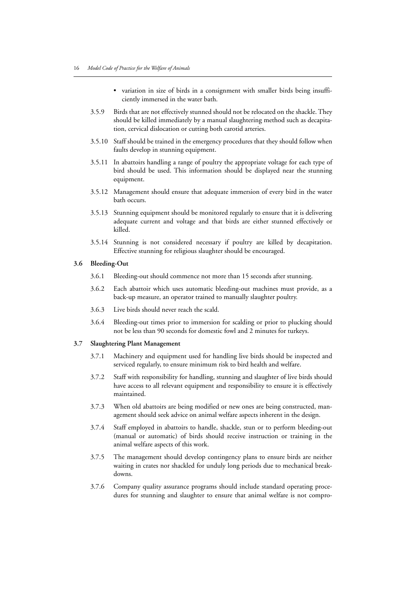- variation in size of birds in a consignment with smaller birds being insufficiently immersed in the water bath.
- 3.5.9 Birds that are not effectively stunned should not be relocated on the shackle. They should be killed immediately by a manual slaughtering method such as decapitation, cervical dislocation or cutting both carotid arteries.
- 3.5.10 Staff should be trained in the emergency procedures that they should follow when faults develop in stunning equipment.
- 3.5.11 In abattoirs handling a range of poultry the appropriate voltage for each type of bird should be used. This information should be displayed near the stunning equipment.
- 3.5.12 Management should ensure that adequate immersion of every bird in the water bath occurs.
- 3.5.13 Stunning equipment should be monitored regularly to ensure that it is delivering adequate current and voltage and that birds are either stunned effectively or killed.
- 3.5.14 Stunning is not considered necessary if poultry are killed by decapitation. Effective stunning for religious slaughter should be encouraged.

#### **3.6 Bleeding-Out**

- 3.6.1 Bleeding-out should commence not more than 15 seconds after stunning.
- 3.6.2 Each abattoir which uses automatic bleeding-out machines must provide, as a back-up measure, an operator trained to manually slaughter poultry.
- 3.6.3 Live birds should never reach the scald.
- 3.6.4 Bleeding-out times prior to immersion for scalding or prior to plucking should not be less than 90 seconds for domestic fowl and 2 minutes for turkeys.

#### **3.7 Slaughtering Plant Management**

- 3.7.1 Machinery and equipment used for handling live birds should be inspected and serviced regularly, to ensure minimum risk to bird health and welfare.
- 3.7.2 Staff with responsibility for handling, stunning and slaughter of live birds should have access to all relevant equipment and responsibility to ensure it is effectively maintained.
- 3.7.3 When old abattoirs are being modified or new ones are being constructed, management should seek advice on animal welfare aspects inherent in the design.
- 3.7.4 Staff employed in abattoirs to handle, shackle, stun or to perform bleeding-out (manual or automatic) of birds should receive instruction or training in the animal welfare aspects of this work.
- 3.7.5 The management should develop contingency plans to ensure birds are neither waiting in crates nor shackled for unduly long periods due to mechanical breakdowns.
- 3.7.6 Company quality assurance programs should include standard operating procedures for stunning and slaughter to ensure that animal welfare is not compro-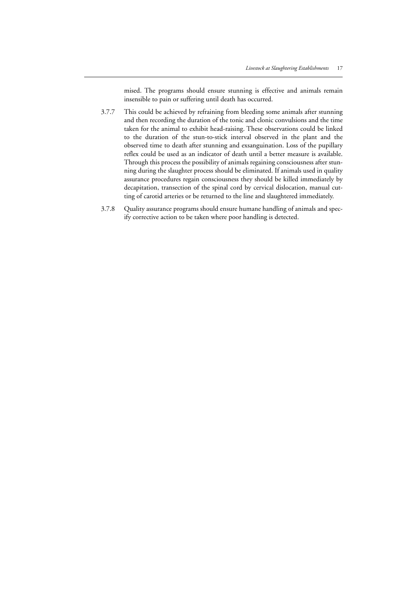mised. The programs should ensure stunning is effective and animals remain insensible to pain or suffering until death has occurred.

- 3.7.7 This could be achieved by refraining from bleeding some animals after stunning and then recording the duration of the tonic and clonic convulsions and the time taken for the animal to exhibit head-raising. These observations could be linked to the duration of the stun-to-stick interval observed in the plant and the observed time to death after stunning and exsanguination. Loss of the pupillary reflex could be used as an indicator of death until a better measure is available. Through this process the possibility of animals regaining consciousness after stunning during the slaughter process should be eliminated. If animals used in quality assurance procedures regain consciousness they should be killed immediately by decapitation, transection of the spinal cord by cervical dislocation, manual cutting of carotid arteries or be returned to the line and slaughtered immediately.
- 3.7.8 Quality assurance programs should ensure humane handling of animals and specify corrective action to be taken where poor handling is detected.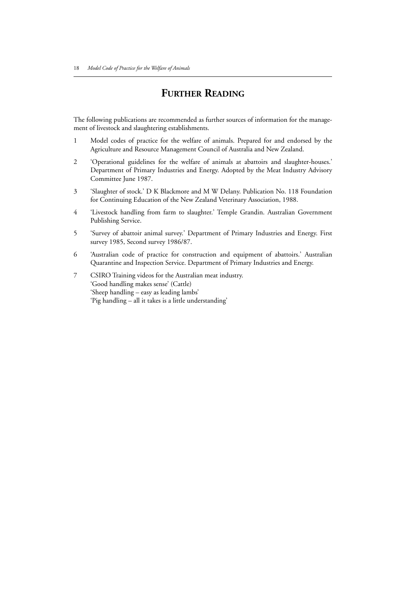## **FURTHER READING**

The following publications are recommended as further sources of information for the management of livestock and slaughtering establishments.

- 1 Model codes of practice for the welfare of animals. Prepared for and endorsed by the Agriculture and Resource Management Council of Australia and New Zealand.
- 2 'Operational guidelines for the welfare of animals at abattoirs and slaughter-houses.' Department of Primary Industries and Energy. Adopted by the Meat Industry Advisory Committee June 1987.
- 3 'Slaughter of stock.' D K Blackmore and M W Delany. Publication No. 118 Foundation for Continuing Education of the New Zealand Veterinary Association, 1988.
- 4 'Livestock handling from farm to slaughter.' Temple Grandin. Australian Government Publishing Service.
- 5 'Survey of abattoir animal survey.' Department of Primary Industries and Energy. First survey 1985, Second survey 1986/87.
- 6 'Australian code of practice for construction and equipment of abattoirs.' Australian Quarantine and Inspection Service. Department of Primary Industries and Energy.
- 7 CSIRO Training videos for the Australian meat industry. 'Good handling makes sense' (Cattle) 'Sheep handling – easy as leading lambs' 'Pig handling – all it takes is a little understanding'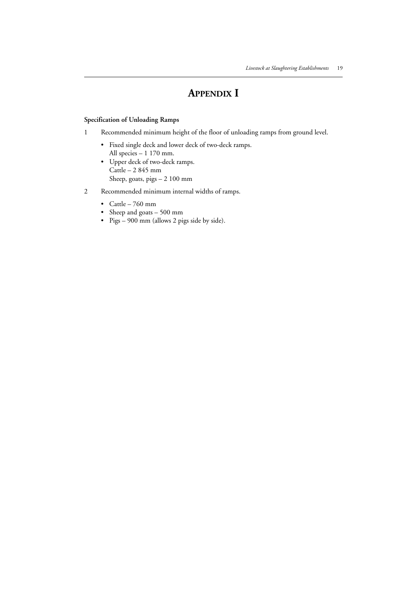## **APPENDIX I**

### **Specification of Unloading Ramps**

- 1 Recommended minimum height of the floor of unloading ramps from ground level.
	- Fixed single deck and lower deck of two-deck ramps. All species – 1 170 mm.
	- Upper deck of two-deck ramps. Cattle – 2 845 mm Sheep, goats, pigs – 2 100 mm
- 2 Recommended minimum internal widths of ramps.
	- Cattle 760 mm
	- Sheep and goats 500 mm
	- Pigs 900 mm (allows 2 pigs side by side).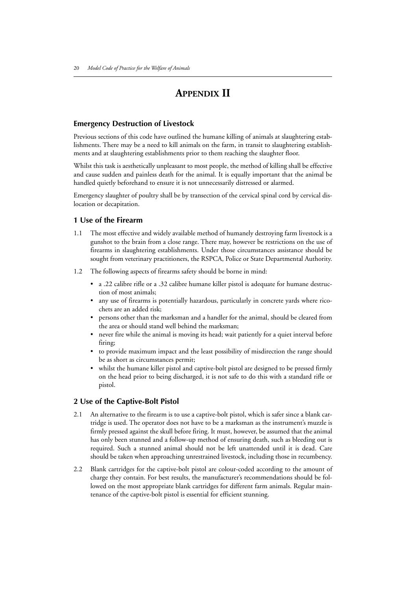## **APPENDIX II**

#### **Emergency Destruction of Livestock**

Previous sections of this code have outlined the humane killing of animals at slaughtering establishments. There may be a need to kill animals on the farm, in transit to slaughtering establishments and at slaughtering establishments prior to them reaching the slaughter floor.

Whilst this task is aesthetically unpleasant to most people, the method of killing shall be effective and cause sudden and painless death for the animal. It is equally important that the animal be handled quietly beforehand to ensure it is not unnecessarily distressed or alarmed.

Emergency slaughter of poultry shall be by transection of the cervical spinal cord by cervical dislocation or decapitation.

#### **1 Use of the Firearm**

- 1.1 The most effective and widely available method of humanely destroying farm livestock is a gunshot to the brain from a close range. There may, however be restrictions on the use of firearms in slaughtering establishments. Under those circumstances assistance should be sought from veterinary practitioners, the RSPCA, Police or State Departmental Authority.
- 1.2 The following aspects of firearms safety should be borne in mind:
	- a .22 calibre rifle or a .32 calibre humane killer pistol is adequate for humane destruction of most animals;
	- any use of firearms is potentially hazardous, particularly in concrete yards where ricochets are an added risk;
	- persons other than the marksman and a handler for the animal, should be cleared from the area or should stand well behind the marksman;
	- never fire while the animal is moving its head; wait patiently for a quiet interval before firing;
	- to provide maximum impact and the least possibility of misdirection the range should be as short as circumstances permit;
	- whilst the humane killer pistol and captive-bolt pistol are designed to be pressed firmly on the head prior to being discharged, it is not safe to do this with a standard rifle or pistol.

#### **2 Use of the Captive-Bolt Pistol**

- 2.1 An alternative to the firearm is to use a captive-bolt pistol, which is safer since a blank cartridge is used. The operator does not have to be a marksman as the instrument's muzzle is firmly pressed against the skull before firing. It must, however, be assumed that the animal has only been stunned and a follow-up method of ensuring death, such as bleeding out is required. Such a stunned animal should not be left unattended until it is dead. Care should be taken when approaching unrestrained livestock, including those in recumbency.
- 2.2 Blank cartridges for the captive-bolt pistol are colour-coded according to the amount of charge they contain. For best results, the manufacturer's recommendations should be followed on the most appropriate blank cartridges for different farm animals. Regular maintenance of the captive-bolt pistol is essential for efficient stunning.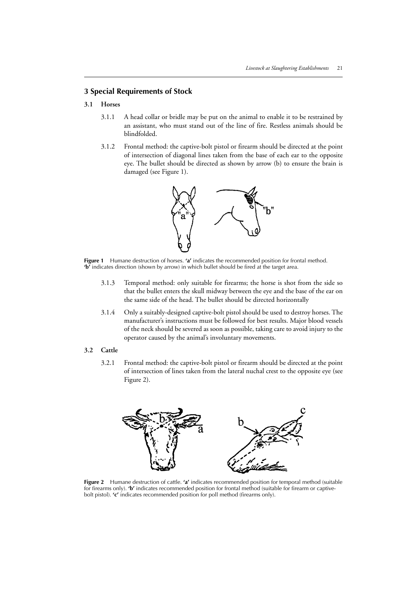### **3 Special Requirements of Stock**

### **3.1 Horses**

- 3.1.1 A head collar or bridle may be put on the animal to enable it to be restrained by an assistant, who must stand out of the line of fire. Restless animals should be blindfolded.
- 3.1.2 Frontal method: the captive-bolt pistol or firearm should be directed at the point of intersection of diagonal lines taken from the base of each ear to the opposite eye. The bullet should be directed as shown by arrow (b) to ensure the brain is damaged (see Figure 1).



**Figure 1** Humane destruction of horses. **'a'** indicates the recommended position for frontal method. **'b'** indicates direction (shown by arrow) in which bullet should be fired at the target area.

- 3.1.3 Temporal method: only suitable for firearms; the horse is shot from the side so that the bullet enters the skull midway between the eye and the base of the ear on the same side of the head. The bullet should be directed horizontally
- 3.1.4 Only a suitably-designed captive-bolt pistol should be used to destroy horses. The manufacturer's instructions must be followed for best results. Major blood vessels of the neck should be severed as soon as possible, taking care to avoid injury to the operator caused by the animal's involuntary movements.

#### **3.2 Cattle**

3.2.1 Frontal method: the captive-bolt pistol or firearm should be directed at the point of intersection of lines taken from the lateral nuchal crest to the opposite eye (see Figure 2).



**Figure 2** Humane destruction of cattle. **'a'** indicates recommended position for temporal method (suitable for firearms only). **'b'** indicates recommended position for frontal method (suitable for firearm or captivebolt pistol). **'c'** indicates recommended position for poll method (firearms only).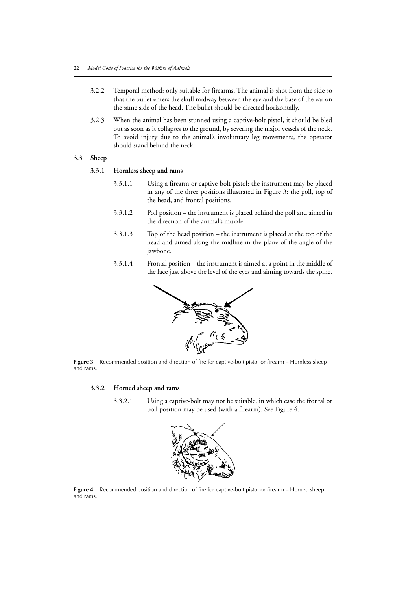- 3.2.2 Temporal method: only suitable for firearms. The animal is shot from the side so that the bullet enters the skull midway between the eye and the base of the ear on the same side of the head. The bullet should be directed horizontally.
- 3.2.3 When the animal has been stunned using a captive-bolt pistol, it should be bled out as soon as it collapses to the ground, by severing the major vessels of the neck. To avoid injury due to the animal's involuntary leg movements, the operator should stand behind the neck.

#### **3.3 Sheep**

#### **3.3.1 Hornless sheep and rams**

- 3.3.1.1 Using a firearm or captive-bolt pistol: the instrument may be placed in any of the three positions illustrated in Figure 3: the poll, top of the head, and frontal positions.
- 3.3.1.2 Poll position the instrument is placed behind the poll and aimed in the direction of the animal's muzzle.
- 3.3.1.3 Top of the head position the instrument is placed at the top of the head and aimed along the midline in the plane of the angle of the jawbone.
- 3.3.1.4 Frontal position the instrument is aimed at a point in the middle of the face just above the level of the eyes and aiming towards the spine.



**Figure 3** Recommended position and direction of fire for captive-bolt pistol or firearm – Hornless sheep and rams.

### **3.3.2 Horned sheep and rams**

3.3.2.1 Using a captive-bolt may not be suitable, in which case the frontal or poll position may be used (with a firearm). See Figure 4.



**Figure 4** Recommended position and direction of fire for captive-bolt pistol or firearm – Horned sheep and rams.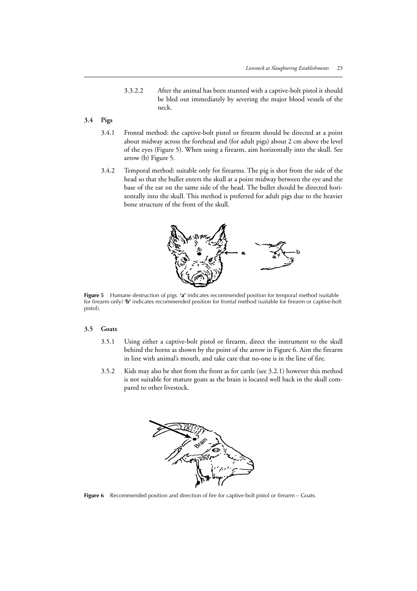3.3.2.2 After the animal has been stunned with a captive-bolt pistol it should be bled out immediately by severing the major blood vessels of the neck.

## **3.4 Pigs**

- 3.4.1 Frontal method: the captive-bolt pistol or firearm should be directed at a point about midway across the forehead and (for adult pigs) about 2 cm above the level of the eyes (Figure 5). When using a firearm, aim horizontally into the skull. See arrow (b) Figure 5.
- 3.4.2 Temporal method: suitable only for firearms. The pig is shot from the side of the head so that the bullet enters the skull at a point midway between the eye and the base of the ear on the same side of the head. The bullet should be directed horizontally into the skull. This method is preferred for adult pigs due to the heavier bone structure of the front of the skull.



**Figure 5** Humane destruction of pigs. **'a'** indicates recommended position for temporal method (suitable for firearm only) **'b'** indicates recommended position for frontal method (suitable for firearm or captive-bolt pistol).

#### **3.5 Goats**

- 3.5.1 Using either a captive-bolt pistol or firearm, direct the instrument to the skull behind the horns as shown by the point of the arrow in Figure 6. Aim the firearm in line with animal's mouth, and take care that no-one is in the line of fire.
- 3.5.2 Kids may also be shot from the front as for cattle (see 3.2.1) however this method is not suitable for mature goats as the brain is located well back in the skull compared to other livestock.



Figure 6 Recommended position and direction of fire for captive-bolt pistol or firearm – Goats.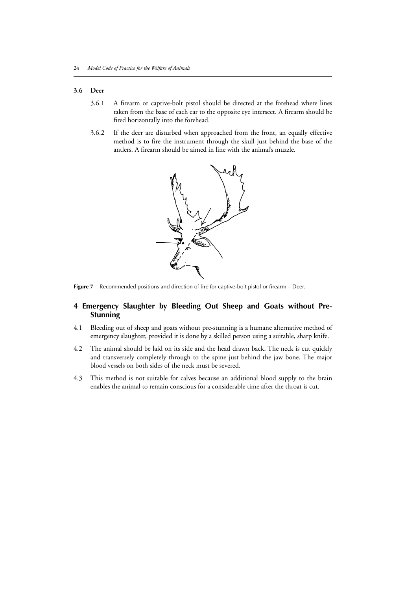#### **3.6 Deer**

- 3.6.1 A firearm or captive-bolt pistol should be directed at the forehead where lines taken from the base of each ear to the opposite eye intersect. A firearm should be fired horizontally into the forehead.
- 3.6.2 If the deer are disturbed when approached from the front, an equally effective method is to fire the instrument through the skull just behind the base of the antlers. A firearm should be aimed in line with the animal's muzzle.



Figure 7 Recommended positions and direction of fire for captive-bolt pistol or firearm – Deer.

### **4 Emergency Slaughter by Bleeding Out Sheep and Goats without Pre-Stunning**

- 4.1 Bleeding out of sheep and goats without pre-stunning is a humane alternative method of emergency slaughter, provided it is done by a skilled person using a suitable, sharp knife.
- 4.2 The animal should be laid on its side and the head drawn back. The neck is cut quickly and transversely completely through to the spine just behind the jaw bone. The major blood vessels on both sides of the neck must be severed.
- 4.3 This method is not suitable for calves because an additional blood supply to the brain enables the animal to remain conscious for a considerable time after the throat is cut.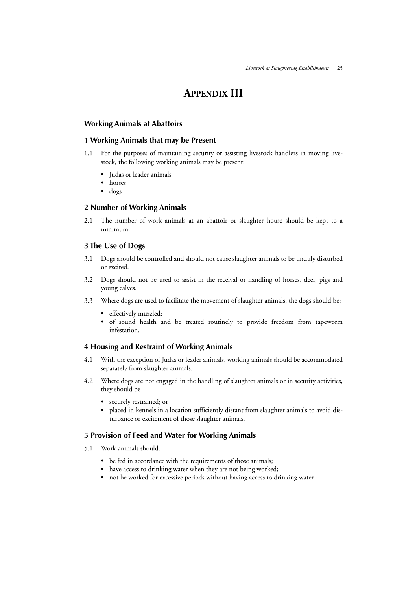## **APPENDIX III**

#### **Working Animals at Abattoirs**

#### **1 Working Animals that may be Present**

- 1.1 For the purposes of maintaining security or assisting livestock handlers in moving livestock, the following working animals may be present:
	- Judas or leader animals
	- horses
	- dogs

#### **2 Number of Working Animals**

2.1 The number of work animals at an abattoir or slaughter house should be kept to a minimum.

### **3 The Use of Dogs**

- 3.1 Dogs should be controlled and should not cause slaughter animals to be unduly disturbed or excited.
- 3.2 Dogs should not be used to assist in the receival or handling of horses, deer, pigs and young calves.
- 3.3 Where dogs are used to facilitate the movement of slaughter animals, the dogs should be:
	- effectively muzzled;
	- of sound health and be treated routinely to provide freedom from tapeworm infestation.

#### **4 Housing and Restraint of Working Animals**

- 4.1 With the exception of Judas or leader animals, working animals should be accommodated separately from slaughter animals.
- 4.2 Where dogs are not engaged in the handling of slaughter animals or in security activities, they should be
	- securely restrained; or
	- placed in kennels in a location sufficiently distant from slaughter animals to avoid disturbance or excitement of those slaughter animals.

#### **5 Provision of Feed and Water for Working Animals**

- 5.1 Work animals should:
	- be fed in accordance with the requirements of those animals;
	- have access to drinking water when they are not being worked;
	- not be worked for excessive periods without having access to drinking water.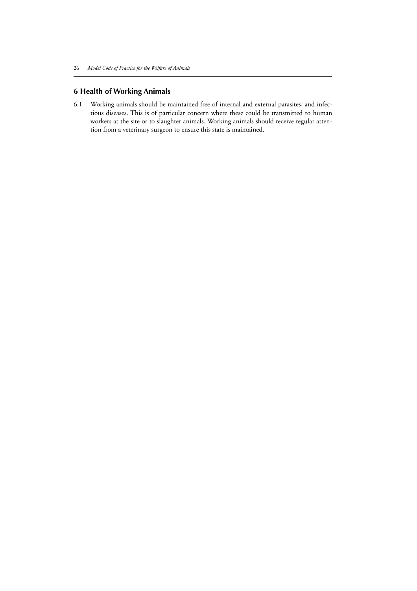## **6 Health of Working Animals**

6.1 Working animals should be maintained free of internal and external parasites, and infectious diseases. This is of particular concern where these could be transmitted to human workers at the site or to slaughter animals. Working animals should receive regular attention from a veterinary surgeon to ensure this state is maintained.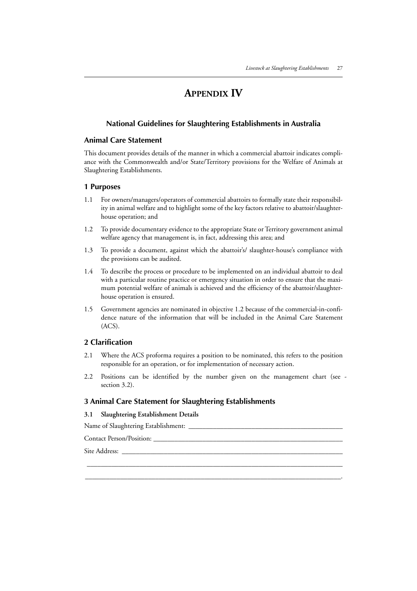## **APPENDIX IV**

### **National Guidelines for Slaughtering Establishments in Australia**

#### **Animal Care Statement**

This document provides details of the manner in which a commercial abattoir indicates compliance with the Commonwealth and/or State/Territory provisions for the Welfare of Animals at Slaughtering Establishments.

#### **1 Purposes**

- 1.1 For owners/managers/operators of commercial abattoirs to formally state their responsibility in animal welfare and to highlight some of the key factors relative to abattoir/slaughterhouse operation; and
- 1.2 To provide documentary evidence to the appropriate State or Territory government animal welfare agency that management is, in fact, addressing this area; and
- 1.3 To provide a document, against which the abattoir's/ slaughter-house's compliance with the provisions can be audited.
- 1.4 To describe the process or procedure to be implemented on an individual abattoir to deal with a particular routine practice or emergency situation in order to ensure that the maximum potential welfare of animals is achieved and the efficiency of the abattoir/slaughterhouse operation is ensured.
- 1.5 Government agencies are nominated in objective 1.2 because of the commercial-in-confidence nature of the information that will be included in the Animal Care Statement (ACS).

### **2 Clarification**

- 2.1 Where the ACS proforma requires a position to be nominated, this refers to the position responsible for an operation, or for implementation of necessary action.
- 2.2 Positions can be identified by the number given on the management chart (see section 3.2).

 $\_$  , and the set of the set of the set of the set of the set of the set of the set of the set of the set of the set of the set of the set of the set of the set of the set of the set of the set of the set of the set of th \_\_\_\_\_\_\_\_\_\_\_\_\_\_\_\_\_\_\_\_\_\_\_\_\_\_\_\_\_\_\_\_\_\_\_\_\_\_\_\_\_\_\_\_\_\_\_\_\_\_\_\_\_\_\_\_\_\_\_\_\_\_\_\_\_\_\_\_\_\_\_\_\_.

#### **3 Animal Care Statement for Slaughtering Establishments**

#### **3.1 Slaughtering Establishment Details**

Name of Slaughtering Establishment: \_\_\_\_\_\_\_\_\_\_\_\_\_\_\_\_\_\_\_\_\_\_\_\_\_\_\_\_\_\_\_\_\_\_\_\_\_\_\_\_\_\_\_\_

Contact Person/Position: \_\_\_\_\_\_\_\_\_\_\_\_\_\_\_\_\_\_\_\_\_\_\_\_\_\_\_\_\_\_\_\_\_\_\_\_\_\_\_\_\_\_\_\_\_\_\_\_\_\_\_\_\_\_

Site Address: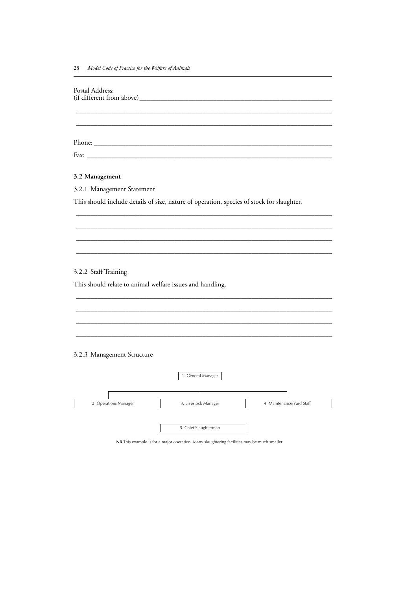| Postal Address:                                                                           |                      |                           |
|-------------------------------------------------------------------------------------------|----------------------|---------------------------|
|                                                                                           |                      |                           |
|                                                                                           |                      |                           |
|                                                                                           |                      |                           |
|                                                                                           |                      |                           |
|                                                                                           |                      |                           |
| 3.2 Management                                                                            |                      |                           |
| 3.2.1 Management Statement                                                                |                      |                           |
| This should include details of size, nature of operation, species of stock for slaughter. |                      |                           |
|                                                                                           |                      |                           |
|                                                                                           |                      |                           |
|                                                                                           |                      |                           |
|                                                                                           |                      |                           |
| 3.2.2 Staff Training                                                                      |                      |                           |
| This should relate to animal welfare issues and handling.                                 |                      |                           |
|                                                                                           |                      |                           |
|                                                                                           |                      |                           |
|                                                                                           |                      |                           |
|                                                                                           |                      |                           |
| 3.2.3 Management Structure                                                                |                      |                           |
|                                                                                           |                      |                           |
|                                                                                           | 1. General Manager   |                           |
|                                                                                           |                      |                           |
| 2. Operations Manager                                                                     | 3. Livestock Manager | 4. Maintenance/Yard Staff |

**NB** This example is for a major operation. Many slaughtering facilities may be much smaller.

5. Chief Slaughterman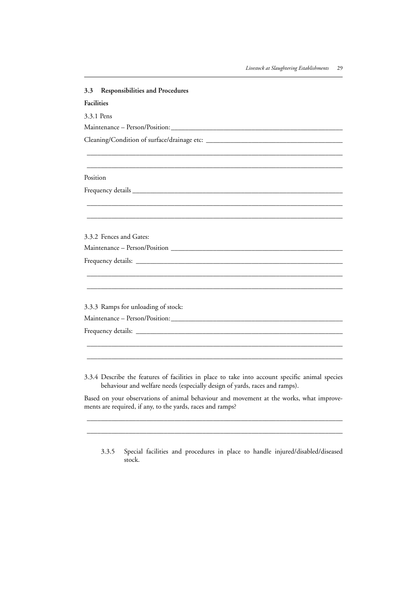| <b>Responsibilities and Procedures</b><br>3.3 |  |  |
|-----------------------------------------------|--|--|
| <b>Facilities</b>                             |  |  |
| 3.3.1 Pens                                    |  |  |
|                                               |  |  |
|                                               |  |  |
|                                               |  |  |
|                                               |  |  |
| Position                                      |  |  |
|                                               |  |  |
|                                               |  |  |
|                                               |  |  |
|                                               |  |  |
| 3.3.2 Fences and Gates:                       |  |  |
|                                               |  |  |
|                                               |  |  |
|                                               |  |  |
|                                               |  |  |
|                                               |  |  |
| 3.3.3 Ramps for unloading of stock:           |  |  |
|                                               |  |  |
|                                               |  |  |
|                                               |  |  |
|                                               |  |  |

3.3.4 Describe the features of facilities in place to take into account specific animal species behaviour and welfare needs (especially design of yards, races and ramps).

Based on your observations of animal behaviour and movement at the works, what improvements are required, if any, to the yards, races and ramps?

 $\_$  , and the set of the set of the set of the set of the set of the set of the set of the set of the set of the set of the set of the set of the set of the set of the set of the set of the set of the set of the set of th  $\_$  , and the set of the set of the set of the set of the set of the set of the set of the set of the set of the set of the set of the set of the set of the set of the set of the set of the set of the set of the set of th

3.3.5 Special facilities and procedures in place to handle injured/disabled/diseased stock.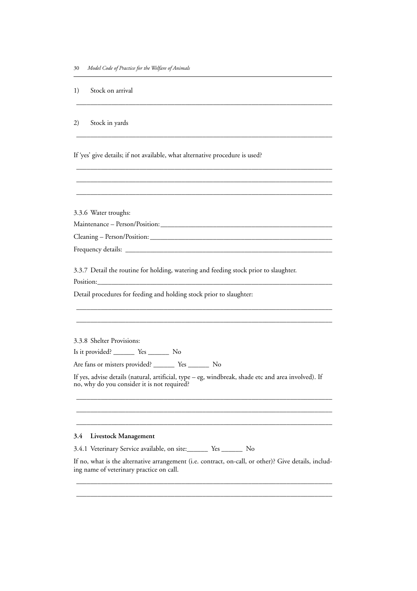1) Stock on arrival

2) Stock in yards

If 'yes' give details; if not available, what alternative procedure is used?

 $\_$  , and the set of the set of the set of the set of the set of the set of the set of the set of the set of the set of the set of the set of the set of the set of the set of the set of the set of the set of the set of th

\_\_\_\_\_\_\_\_\_\_\_\_\_\_\_\_\_\_\_\_\_\_\_\_\_\_\_\_\_\_\_\_\_\_\_\_\_\_\_\_\_\_\_\_\_\_\_\_\_\_\_\_\_\_\_\_\_\_\_\_\_\_\_\_\_\_\_\_\_\_\_\_\_

 $\_$  , and the set of the set of the set of the set of the set of the set of the set of the set of the set of the set of the set of the set of the set of the set of the set of the set of the set of the set of the set of th  $\_$  , and the set of the set of the set of the set of the set of the set of the set of the set of the set of the set of the set of the set of the set of the set of the set of the set of the set of the set of the set of th  $\_$  , and the set of the set of the set of the set of the set of the set of the set of the set of the set of the set of the set of the set of the set of the set of the set of the set of the set of the set of the set of th

3.3.6 Water troughs:

Maintenance – Person/Position:\_\_\_\_\_\_\_\_\_\_\_\_\_\_\_\_\_\_\_\_\_\_\_\_\_\_\_\_\_\_\_\_\_\_\_\_\_\_\_\_\_\_\_\_\_\_\_\_\_

Cleaning – Person/Position: \_\_\_\_\_\_\_\_\_\_\_\_\_\_\_\_\_\_\_\_\_\_\_\_\_\_\_\_\_\_\_\_\_\_\_\_\_\_\_\_\_\_\_\_\_\_\_\_\_\_\_\_

Frequency details: \_

3.3.7 Detail the routine for holding, watering and feeding stock prior to slaughter.

Position:\_\_\_\_\_\_\_\_\_\_\_\_\_\_\_\_\_\_\_\_\_\_\_\_\_\_\_\_\_\_\_\_\_\_\_\_\_\_\_\_\_\_\_\_\_\_\_\_\_\_\_\_\_\_\_\_\_\_\_\_\_\_\_\_\_\_\_

Detail procedures for feeding and holding stock prior to slaughter:

3.3.8 Shelter Provisions:

Is it provided? \_\_\_\_\_\_ Yes \_\_\_\_\_\_ No

Are fans or misters provided? \_\_\_\_\_\_ Yes \_\_\_\_\_\_ No

If yes, advise details (natural, artificial, type – eg, windbreak, shade etc and area involved). If no, why do you consider it is not required?

 $\_$  , and the set of the set of the set of the set of the set of the set of the set of the set of the set of the set of the set of the set of the set of the set of the set of the set of the set of the set of the set of th  $\_$  , and the set of the set of the set of the set of the set of the set of the set of the set of the set of the set of the set of the set of the set of the set of the set of the set of the set of the set of the set of th  $\_$  , and the set of the set of the set of the set of the set of the set of the set of the set of the set of the set of the set of the set of the set of the set of the set of the set of the set of the set of the set of th

 $\_$  , and the set of the set of the set of the set of the set of the set of the set of the set of the set of the set of the set of the set of the set of the set of the set of the set of the set of the set of the set of th  $\_$  , and the set of the set of the set of the set of the set of the set of the set of the set of the set of the set of the set of the set of the set of the set of the set of the set of the set of the set of the set of th

#### **3.4 Livestock Management**

3.4.1 Veterinary Service available, on site:\_\_\_\_\_\_ Yes \_\_\_\_\_\_ No

If no, what is the alternative arrangement (i.e. contract, on-call, or other)? Give details, including name of veterinary practice on call.

 $\_$  , and the set of the set of the set of the set of the set of the set of the set of the set of the set of the set of the set of the set of the set of the set of the set of the set of the set of the set of the set of th  $\_$  , and the set of the set of the set of the set of the set of the set of the set of the set of the set of the set of the set of the set of the set of the set of the set of the set of the set of the set of the set of th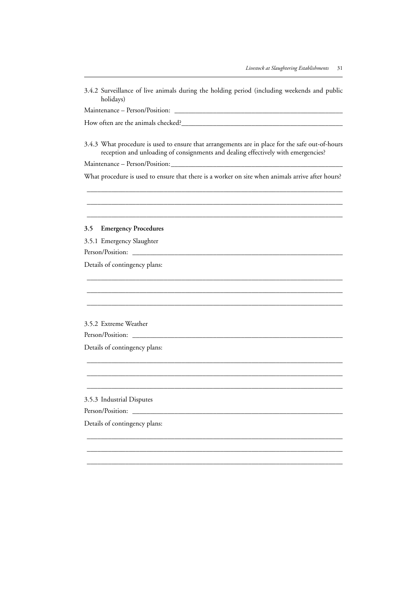| 3.4.2 Surveillance of live animals during the holding period (including weekends and public<br>holidays)                                                                             |  |  |  |
|--------------------------------------------------------------------------------------------------------------------------------------------------------------------------------------|--|--|--|
|                                                                                                                                                                                      |  |  |  |
|                                                                                                                                                                                      |  |  |  |
| 3.4.3 What procedure is used to ensure that arrangements are in place for the safe out-of-hours<br>reception and unloading of consignments and dealing effectively with emergencies? |  |  |  |
|                                                                                                                                                                                      |  |  |  |
| What procedure is used to ensure that there is a worker on site when animals arrive after hours?                                                                                     |  |  |  |
|                                                                                                                                                                                      |  |  |  |
| <b>Emergency Procedures</b><br>3.5                                                                                                                                                   |  |  |  |
| 3.5.1 Emergency Slaughter                                                                                                                                                            |  |  |  |
|                                                                                                                                                                                      |  |  |  |
| Details of contingency plans:                                                                                                                                                        |  |  |  |
|                                                                                                                                                                                      |  |  |  |
| 3.5.2 Extreme Weather                                                                                                                                                                |  |  |  |
|                                                                                                                                                                                      |  |  |  |
| Details of contingency plans:                                                                                                                                                        |  |  |  |
|                                                                                                                                                                                      |  |  |  |
|                                                                                                                                                                                      |  |  |  |
| 3.5.3 Industrial Disputes                                                                                                                                                            |  |  |  |
| Person/Position:                                                                                                                                                                     |  |  |  |
| Details of contingency plans:                                                                                                                                                        |  |  |  |
|                                                                                                                                                                                      |  |  |  |
|                                                                                                                                                                                      |  |  |  |
|                                                                                                                                                                                      |  |  |  |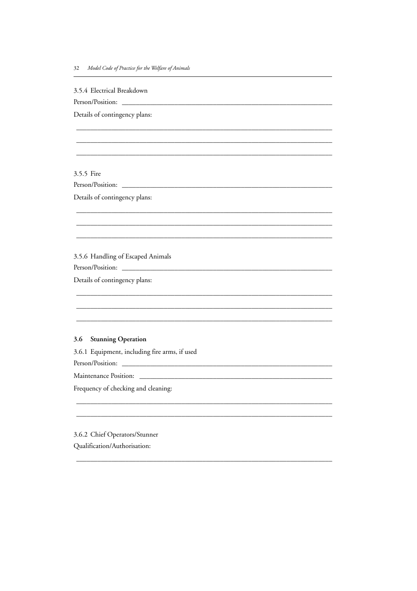3.5.4 Electrical Breakdown

Person/Position:

Details of contingency plans:

3.5.5 Fire

Details of contingency plans:

3.5.6 Handling of Escaped Animals

Person/Position: \_\_\_\_\_\_

Details of contingency plans:

### 3.6 Stunning Operation

3.6.1 Equipment, including fire arms, if used

Person/Position:

Maintenance Position: \_\_\_\_\_\_\_

Frequency of checking and cleaning:

3.6.2 Chief Operators/Stunner Qualification/Authorisation: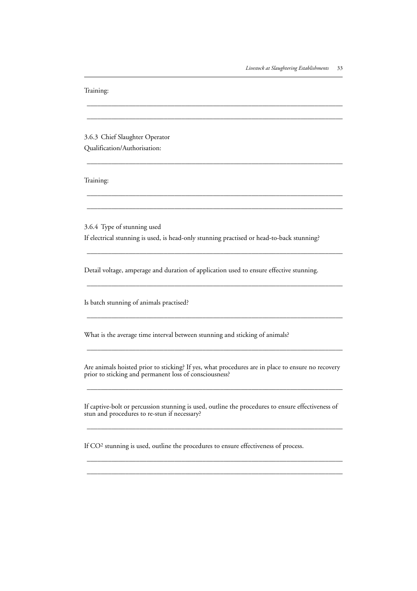| Training:                                                                                                                                                   |  |  |
|-------------------------------------------------------------------------------------------------------------------------------------------------------------|--|--|
|                                                                                                                                                             |  |  |
| 3.6.3 Chief Slaughter Operator                                                                                                                              |  |  |
| Qualification/Authorisation:                                                                                                                                |  |  |
| Training:                                                                                                                                                   |  |  |
|                                                                                                                                                             |  |  |
| 3.6.4 Type of stunning used                                                                                                                                 |  |  |
| If electrical stunning is used, is head-only stunning practised or head-to-back stunning?                                                                   |  |  |
| Detail voltage, amperage and duration of application used to ensure effective stunning.                                                                     |  |  |
| Is batch stunning of animals practised?                                                                                                                     |  |  |
| What is the average time interval between stunning and sticking of animals?                                                                                 |  |  |
| Are animals hoisted prior to sticking? If yes, what procedures are in place to ensure no recovery<br>prior to sticking and permanent loss of consciousness? |  |  |
| If captive-bolt or percussion stunning is used, outline the procedures to ensure effectiveness of<br>stun and procedures to re-stun if necessary?           |  |  |
| If CO <sup>2</sup> stunning is used, outline the procedures to ensure effectiveness of process.                                                             |  |  |

 $\_$  , and the set of the set of the set of the set of the set of the set of the set of the set of the set of the set of the set of the set of the set of the set of the set of the set of the set of the set of the set of th